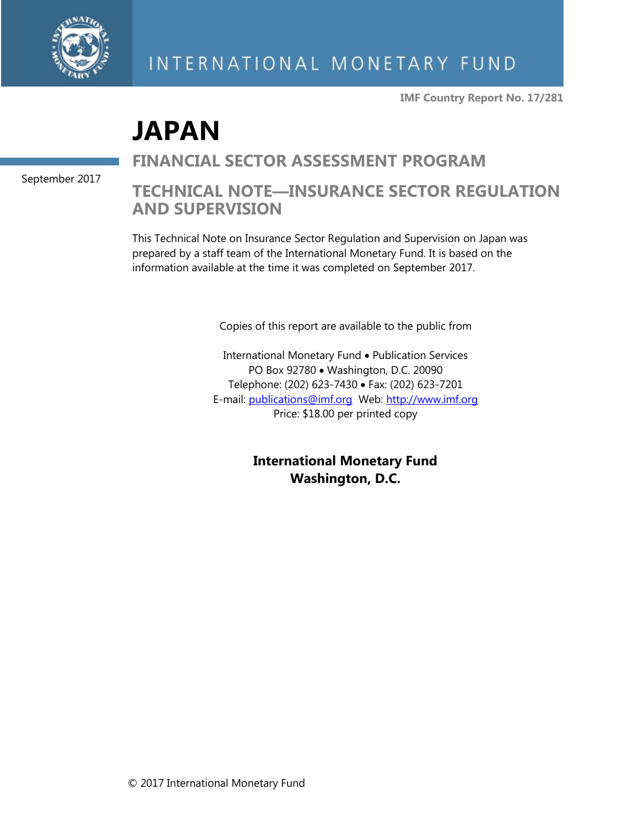

**IMF Country Report No. 17/281**

# **JAPAN**

**FINANCIAL SECTOR ASSESSMENT PROGRAM**

**TECHNICAL NOTE—INSURANCE SECTOR REGULATION AND SUPERVISION**

This Technical Note on Insurance Sector Regulation and Supervision on Japan was prepared by a staff team of the International Monetary Fund. It is based on the information available at the time it was completed on September 2017.

Copies of this report are available to the public from

International Monetary Fund • Publication Services PO Box 92780 • Washington, D.C. 20090 Telephone: (202) 623-7430 • Fax: (202) 623-7201 E-mail: [publications@imf.org](mailto:publications@imf.org) Web: [http://www.imf.org](http://www.imf.org/) Price: \$18.00 per printed copy

> **International Monetary Fund Washington, D.C.**

September 2017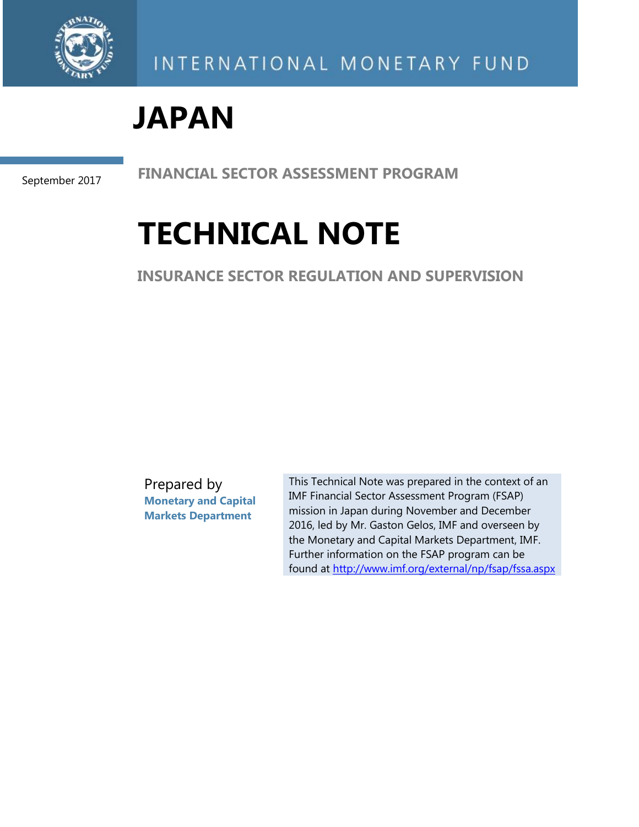

# **JAPAN**

September 2017

**FINANCIAL SECTOR ASSESSMENT PROGRAM**

# **TECHNICAL NOTE**

**INSURANCE SECTOR REGULATION AND SUPERVISION**

Prepared by **Monetary and Capital Markets Department**

This Technical Note was prepared in the context of an IMF Financial Sector Assessment Program (FSAP) mission in Japan during November and December 2016, led by Mr. Gaston Gelos, IMF and overseen by the Monetary and Capital Markets Department, IMF. Further information on the FSAP program can be found at<http://www.imf.org/external/np/fsap/fssa.aspx>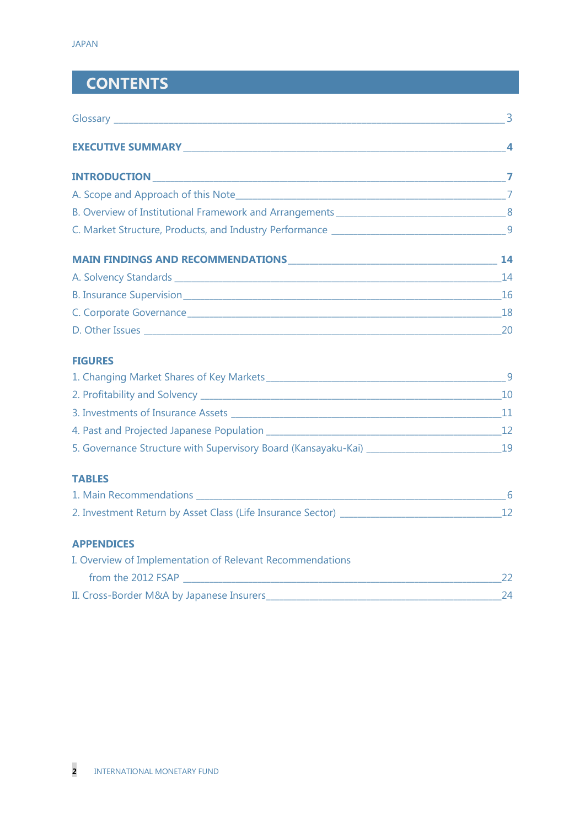# **CONTENTS**

| D. Other Issues 20                                        |    |
|-----------------------------------------------------------|----|
| <b>FIGURES</b>                                            |    |
|                                                           |    |
|                                                           |    |
|                                                           |    |
|                                                           |    |
|                                                           |    |
| <b>TABLES</b>                                             |    |
|                                                           |    |
|                                                           |    |
| <b>APPENDICES</b>                                         |    |
| I. Overview of Implementation of Relevant Recommendations |    |
| from the 2012 FSAP                                        | 22 |

II. Cross-Border M&A by Japanese Insurers\_\_\_\_\_\_\_\_\_\_\_\_\_\_\_\_\_\_\_\_\_\_\_\_\_\_\_\_\_\_\_\_\_\_\_\_\_\_\_\_\_\_\_\_\_\_\_\_\_\_\_\_\_\_24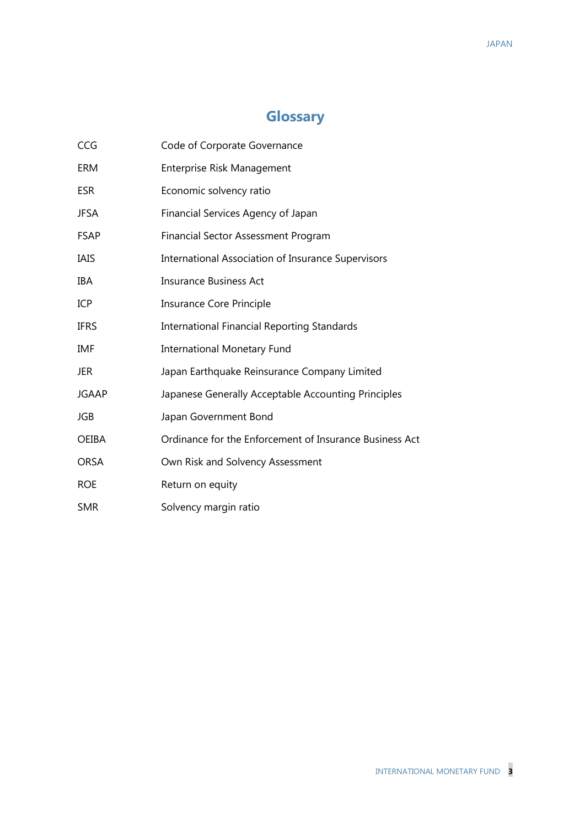## **Glossary**

| CCG          | Code of Corporate Governance                              |
|--------------|-----------------------------------------------------------|
| ERM          | Enterprise Risk Management                                |
| <b>ESR</b>   | Economic solvency ratio                                   |
| <b>JFSA</b>  | Financial Services Agency of Japan                        |
| <b>FSAP</b>  | <b>Financial Sector Assessment Program</b>                |
| IAIS         | <b>International Association of Insurance Supervisors</b> |
| IBA          | <b>Insurance Business Act</b>                             |
| ICP          | <b>Insurance Core Principle</b>                           |
| <b>IFRS</b>  | <b>International Financial Reporting Standards</b>        |
| IMF          | <b>International Monetary Fund</b>                        |
| <b>JER</b>   | Japan Earthquake Reinsurance Company Limited              |
| <b>JGAAP</b> | Japanese Generally Acceptable Accounting Principles       |
| JGB          | Japan Government Bond                                     |
| <b>OEIBA</b> | Ordinance for the Enforcement of Insurance Business Act   |
| <b>ORSA</b>  | Own Risk and Solvency Assessment                          |
| <b>ROE</b>   | Return on equity                                          |
| <b>SMR</b>   | Solvency margin ratio                                     |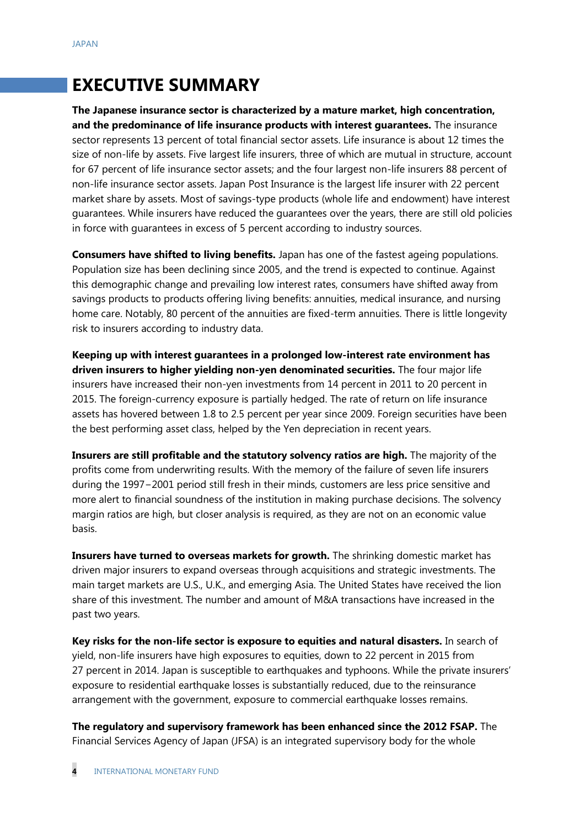## **EXECUTIVE SUMMARY**

**The Japanese insurance sector is characterized by a mature market, high concentration, and the predominance of life insurance products with interest guarantees.** The insurance sector represents 13 percent of total financial sector assets. Life insurance is about 12 times the size of non-life by assets. Five largest life insurers, three of which are mutual in structure, account for 67 percent of life insurance sector assets; and the four largest non-life insurers 88 percent of non-life insurance sector assets. Japan Post Insurance is the largest life insurer with 22 percent market share by assets. Most of savings-type products (whole life and endowment) have interest guarantees. While insurers have reduced the guarantees over the years, there are still old policies in force with guarantees in excess of 5 percent according to industry sources.

**Consumers have shifted to living benefits.** Japan has one of the fastest ageing populations. Population size has been declining since 2005, and the trend is expected to continue. Against this demographic change and prevailing low interest rates, consumers have shifted away from savings products to products offering living benefits: annuities, medical insurance, and nursing home care. Notably, 80 percent of the annuities are fixed-term annuities. There is little longevity risk to insurers according to industry data.

**Keeping up with interest guarantees in a prolonged low-interest rate environment has driven insurers to higher yielding non-yen denominated securities.** The four major life insurers have increased their non-yen investments from 14 percent in 2011 to 20 percent in 2015. The foreign-currency exposure is partially hedged. The rate of return on life insurance assets has hovered between 1.8 to 2.5 percent per year since 2009. Foreign securities have been the best performing asset class, helped by the Yen depreciation in recent years.

**Insurers are still profitable and the statutory solvency ratios are high.** The majority of the profits come from underwriting results. With the memory of the failure of seven life insurers during the 1997−2001 period still fresh in their minds, customers are less price sensitive and more alert to financial soundness of the institution in making purchase decisions. The solvency margin ratios are high, but closer analysis is required, as they are not on an economic value basis.

**Insurers have turned to overseas markets for growth.** The shrinking domestic market has driven major insurers to expand overseas through acquisitions and strategic investments. The main target markets are U.S., U.K., and emerging Asia. The United States have received the lion share of this investment. The number and amount of M&A transactions have increased in the past two years.

**Key risks for the non-life sector is exposure to equities and natural disasters.** In search of yield, non-life insurers have high exposures to equities, down to 22 percent in 2015 from 27 percent in 2014. Japan is susceptible to earthquakes and typhoons. While the private insurers' exposure to residential earthquake losses is substantially reduced, due to the reinsurance arrangement with the government, exposure to commercial earthquake losses remains.

**The regulatory and supervisory framework has been enhanced since the 2012 FSAP.** The Financial Services Agency of Japan (JFSA) is an integrated supervisory body for the whole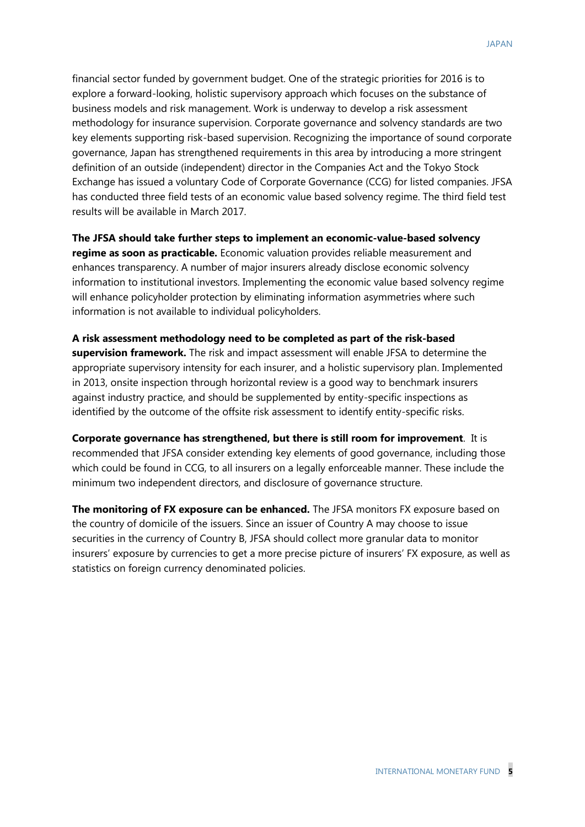financial sector funded by government budget. One of the strategic priorities for 2016 is to explore a forward-looking, holistic supervisory approach which focuses on the substance of business models and risk management. Work is underway to develop a risk assessment methodology for insurance supervision. Corporate governance and solvency standards are two key elements supporting risk-based supervision. Recognizing the importance of sound corporate governance, Japan has strengthened requirements in this area by introducing a more stringent definition of an outside (independent) director in the Companies Act and the Tokyo Stock Exchange has issued a voluntary Code of Corporate Governance (CCG) for listed companies. JFSA has conducted three field tests of an economic value based solvency regime. The third field test results will be available in March 2017.

**The JFSA should take further steps to implement an economic-value-based solvency regime as soon as practicable.** Economic valuation provides reliable measurement and enhances transparency. A number of major insurers already disclose economic solvency information to institutional investors. Implementing the economic value based solvency regime will enhance policyholder protection by eliminating information asymmetries where such information is not available to individual policyholders.

**A risk assessment methodology need to be completed as part of the risk-based supervision framework.** The risk and impact assessment will enable JFSA to determine the appropriate supervisory intensity for each insurer, and a holistic supervisory plan. Implemented in 2013, onsite inspection through horizontal review is a good way to benchmark insurers against industry practice, and should be supplemented by entity-specific inspections as identified by the outcome of the offsite risk assessment to identify entity-specific risks.

**Corporate governance has strengthened, but there is still room for improvement**. It is recommended that JFSA consider extending key elements of good governance, including those which could be found in CCG, to all insurers on a legally enforceable manner. These include the minimum two independent directors, and disclosure of governance structure.

**The monitoring of FX exposure can be enhanced.** The JFSA monitors FX exposure based on the country of domicile of the issuers. Since an issuer of Country A may choose to issue securities in the currency of Country B, JFSA should collect more granular data to monitor insurers' exposure by currencies to get a more precise picture of insurers' FX exposure, as well as statistics on foreign currency denominated policies.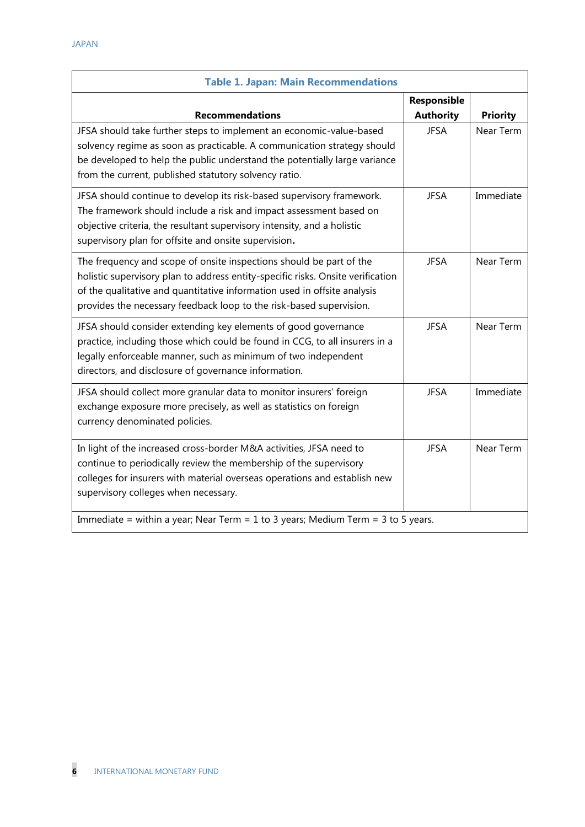| <b>Table 1. Japan: Main Recommendations</b>                                                                                                                                                                                                                                                               |                                 |                 |  |
|-----------------------------------------------------------------------------------------------------------------------------------------------------------------------------------------------------------------------------------------------------------------------------------------------------------|---------------------------------|-----------------|--|
| <b>Recommendations</b>                                                                                                                                                                                                                                                                                    | Responsible<br><b>Authority</b> | <b>Priority</b> |  |
| JFSA should take further steps to implement an economic-value-based<br>solvency regime as soon as practicable. A communication strategy should<br>be developed to help the public understand the potentially large variance<br>from the current, published statutory solvency ratio.                      | <b>JFSA</b>                     | Near Term       |  |
| JFSA should continue to develop its risk-based supervisory framework.<br>The framework should include a risk and impact assessment based on<br>objective criteria, the resultant supervisory intensity, and a holistic<br>supervisory plan for offsite and onsite supervision.                            | <b>JFSA</b>                     | Immediate       |  |
| The frequency and scope of onsite inspections should be part of the<br>holistic supervisory plan to address entity-specific risks. Onsite verification<br>of the qualitative and quantitative information used in offsite analysis<br>provides the necessary feedback loop to the risk-based supervision. | <b>JFSA</b>                     | Near Term       |  |
| JFSA should consider extending key elements of good governance<br>practice, including those which could be found in CCG, to all insurers in a<br>legally enforceable manner, such as minimum of two independent<br>directors, and disclosure of governance information.                                   | <b>JFSA</b>                     | Near Term       |  |
| JFSA should collect more granular data to monitor insurers' foreign<br>exchange exposure more precisely, as well as statistics on foreign<br>currency denominated policies.                                                                                                                               | <b>JFSA</b>                     | Immediate       |  |
| In light of the increased cross-border M&A activities, JFSA need to<br>continue to periodically review the membership of the supervisory<br>colleges for insurers with material overseas operations and establish new<br>supervisory colleges when necessary.                                             | <b>JFSA</b>                     | Near Term       |  |
| Immediate = within a year; Near Term = 1 to 3 years; Medium Term = 3 to 5 years.                                                                                                                                                                                                                          |                                 |                 |  |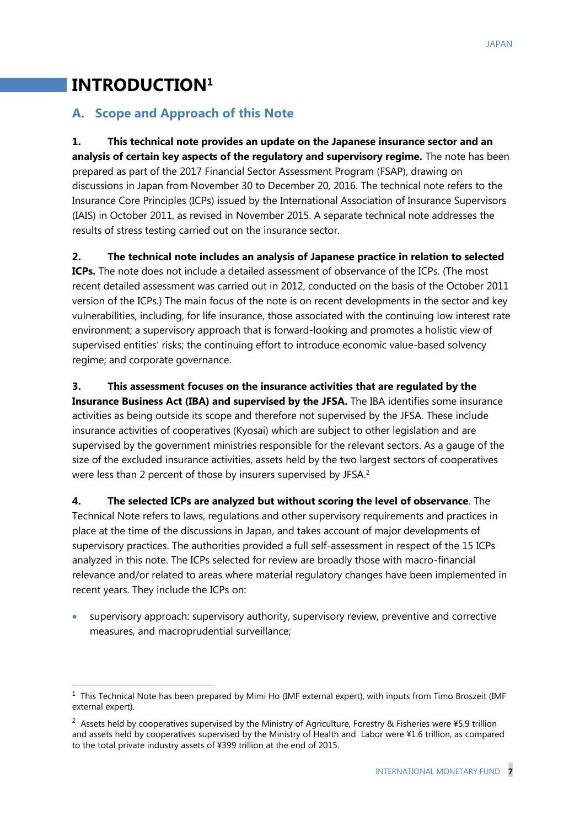## **INTRODUCTION<sup>1</sup>**

-

### **A. Scope and Approach of this Note**

**1. This technical note provides an update on the Japanese insurance sector and an analysis of certain key aspects of the regulatory and supervisory regime.** The note has been prepared as part of the 2017 Financial Sector Assessment Program (FSAP), drawing on discussions in Japan from November 30 to December 20, 2016. The technical note refers to the Insurance Core Principles (ICPs) issued by the International Association of Insurance Supervisors (IAIS) in October 2011, as revised in November 2015. A separate technical note addresses the results of stress testing carried out on the insurance sector.

**2. The technical note includes an analysis of Japanese practice in relation to selected ICPs.** The note does not include a detailed assessment of observance of the ICPs. (The most recent detailed assessment was carried out in 2012, conducted on the basis of the October 2011 version of the ICPs.) The main focus of the note is on recent developments in the sector and key vulnerabilities, including, for life insurance, those associated with the continuing low interest rate environment; a supervisory approach that is forward-looking and promotes a holistic view of supervised entities' risks; the continuing effort to introduce economic value-based solvency regime; and corporate governance.

**3. This assessment focuses on the insurance activities that are regulated by the Insurance Business Act (IBA) and supervised by the JFSA.** The IBA identifies some insurance activities as being outside its scope and therefore not supervised by the JFSA. These include insurance activities of cooperatives (Kyosai) which are subject to other legislation and are supervised by the government ministries responsible for the relevant sectors. As a gauge of the size of the excluded insurance activities, assets held by the two largest sectors of cooperatives were less than 2 percent of those by insurers supervised by JFSA.<sup>2</sup>

**4. The selected ICPs are analyzed but without scoring the level of observance**. The Technical Note refers to laws, regulations and other supervisory requirements and practices in place at the time of the discussions in Japan, and takes account of major developments of supervisory practices. The authorities provided a full self-assessment in respect of the 15 ICPs analyzed in this note. The ICPs selected for review are broadly those with macro-financial relevance and/or related to areas where material regulatory changes have been implemented in recent years. They include the ICPs on:

• supervisory approach: supervisory authority, supervisory review, preventive and corrective measures, and macroprudential surveillance;

 $1$  This Technical Note has been prepared by Mimi Ho (IMF external expert), with inputs from Timo Broszeit (IMF external expert).

<sup>&</sup>lt;sup>2</sup> Assets held by cooperatives supervised by the Ministry of Agriculture, Forestry & Fisheries were ¥5.9 trillion and assets held by cooperatives supervised by the Ministry of Health and Labor were ¥1.6 trillion, as compared to the total private industry assets of ¥399 trillion at the end of 2015.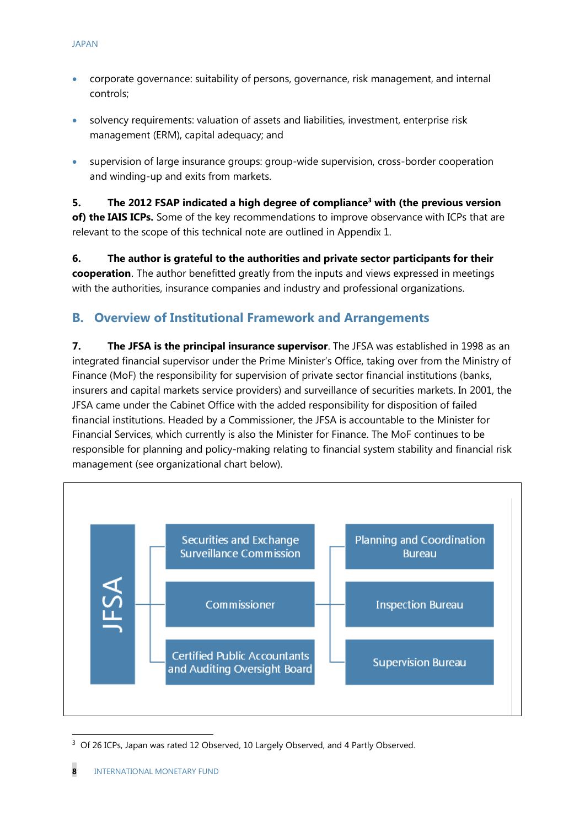- corporate governance: suitability of persons, governance, risk management, and internal controls;
- solvency requirements: valuation of assets and liabilities, investment, enterprise risk management (ERM), capital adequacy; and
- supervision of large insurance groups: group-wide supervision, cross-border cooperation and winding-up and exits from markets.

**5. The 2012 FSAP indicated a high degree of compliance<sup>3</sup> with (the previous version of) the IAIS ICPs.** Some of the key recommendations to improve observance with ICPs that are relevant to the scope of this technical note are outlined in Appendix 1.

**6. The author is grateful to the authorities and private sector participants for their cooperation**. The author benefitted greatly from the inputs and views expressed in meetings with the authorities, insurance companies and industry and professional organizations.

## **B. Overview of Institutional Framework and Arrangements**

**7. The JFSA is the principal insurance supervisor**. The JFSA was established in 1998 as an integrated financial supervisor under the Prime Minister's Office, taking over from the Ministry of Finance (MoF) the responsibility for supervision of private sector financial institutions (banks, insurers and capital markets service providers) and surveillance of securities markets. In 2001, the JFSA came under the Cabinet Office with the added responsibility for disposition of failed financial institutions. Headed by a Commissioner, the JFSA is accountable to the Minister for Financial Services, which currently is also the Minister for Finance. The MoF continues to be responsible for planning and policy-making relating to financial system stability and financial risk management (see organizational chart below).



<sup>&</sup>lt;sup>3</sup> Of 26 ICPs, Japan was rated 12 Observed, 10 Largely Observed, and 4 Partly Observed.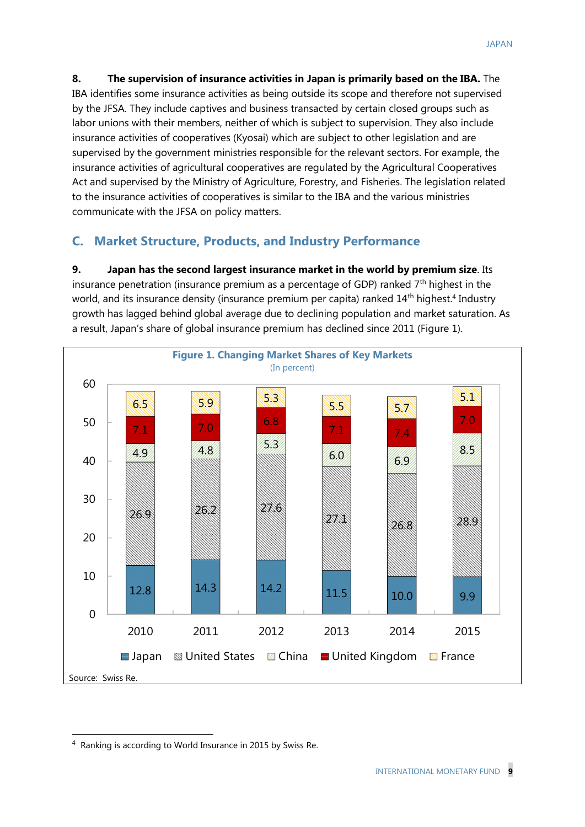**8. The supervision of insurance activities in Japan is primarily based on the IBA.** The IBA identifies some insurance activities as being outside its scope and therefore not supervised by the JFSA. They include captives and business transacted by certain closed groups such as labor unions with their members, neither of which is subject to supervision. They also include insurance activities of cooperatives (Kyosai) which are subject to other legislation and are supervised by the government ministries responsible for the relevant sectors. For example, the insurance activities of agricultural cooperatives are regulated by the Agricultural Cooperatives Act and supervised by the Ministry of Agriculture, Forestry, and Fisheries. The legislation related to the insurance activities of cooperatives is similar to the IBA and the various ministries communicate with the JFSA on policy matters.

### **C. Market Structure, Products, and Industry Performance**

**9. Japan has the second largest insurance market in the world by premium size**. Its insurance penetration (insurance premium as a percentage of GDP) ranked  $7<sup>th</sup>$  highest in the world, and its insurance density (insurance premium per capita) ranked 14<sup>th</sup> highest.<sup>4</sup> Industry growth has lagged behind global average due to declining population and market saturation. As a result, Japan's share of global insurance premium has declined since 2011 (Figure 1).



<sup>&</sup>lt;sup>4</sup> Ranking is according to World Insurance in 2015 by Swiss Re.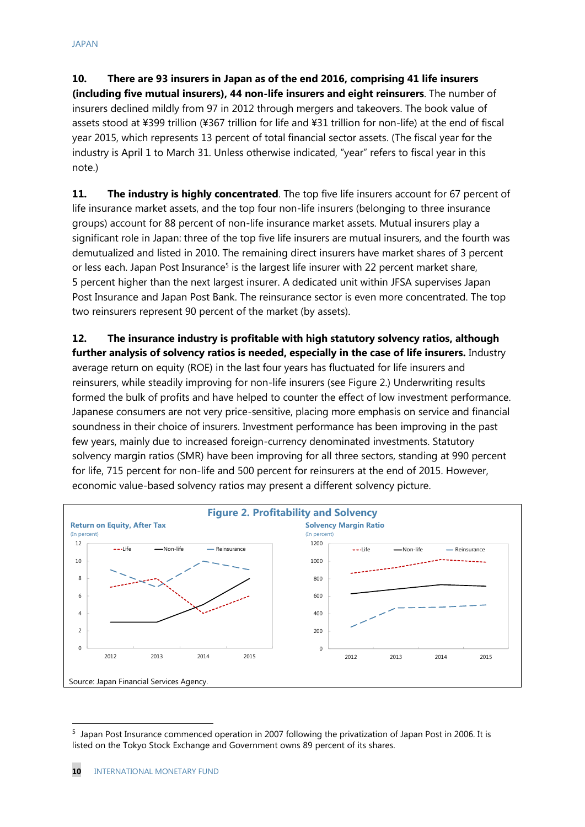**10. There are 93 insurers in Japan as of the end 2016, comprising 41 life insurers (including five mutual insurers), 44 non-life insurers and eight reinsurers**. The number of insurers declined mildly from 97 in 2012 through mergers and takeovers. The book value of assets stood at ¥399 trillion (¥367 trillion for life and ¥31 trillion for non-life) at the end of fiscal year 2015, which represents 13 percent of total financial sector assets. (The fiscal year for the industry is April 1 to March 31. Unless otherwise indicated, "year" refers to fiscal year in this note.)

**11. The industry is highly concentrated**. The top five life insurers account for 67 percent of life insurance market assets, and the top four non-life insurers (belonging to three insurance groups) account for 88 percent of non-life insurance market assets. Mutual insurers play a significant role in Japan: three of the top five life insurers are mutual insurers, and the fourth was demutualized and listed in 2010. The remaining direct insurers have market shares of 3 percent or less each. Japan Post Insurance<sup>5</sup> is the largest life insurer with 22 percent market share, 5 percent higher than the next largest insurer. A dedicated unit within JFSA supervises Japan Post Insurance and Japan Post Bank. The reinsurance sector is even more concentrated. The top two reinsurers represent 90 percent of the market (by assets).

**12. The insurance industry is profitable with high statutory solvency ratios, although further analysis of solvency ratios is needed, especially in the case of life insurers.** Industry average return on equity (ROE) in the last four years has fluctuated for life insurers and reinsurers, while steadily improving for non-life insurers (see Figure 2.) Underwriting results formed the bulk of profits and have helped to counter the effect of low investment performance. Japanese consumers are not very price-sensitive, placing more emphasis on service and financial soundness in their choice of insurers. Investment performance has been improving in the past few years, mainly due to increased foreign-currency denominated investments. Statutory solvency margin ratios (SMR) have been improving for all three sectors, standing at 990 percent for life, 715 percent for non-life and 500 percent for reinsurers at the end of 2015. However, economic value-based solvency ratios may present a different solvency picture.



<sup>5</sup> Japan Post Insurance commenced operation in 2007 following the privatization of Japan Post in 2006. It is listed on the Tokyo Stock Exchange and Government owns 89 percent of its shares.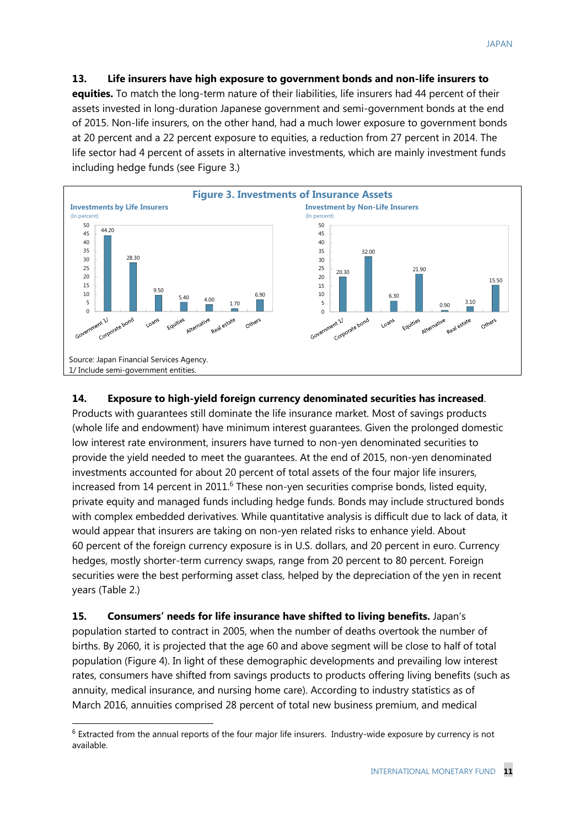**13. Life insurers have high exposure to government bonds and non-life insurers to equities.** To match the long-term nature of their liabilities, life insurers had 44 percent of their assets invested in long-duration Japanese government and semi-government bonds at the end of 2015. Non-life insurers, on the other hand, had a much lower exposure to government bonds at 20 percent and a 22 percent exposure to equities, a reduction from 27 percent in 2014. The life sector had 4 percent of assets in alternative investments, which are mainly investment funds including hedge funds (see Figure 3.)



#### **14. Exposure to high-yield foreign currency denominated securities has increased**.

Products with guarantees still dominate the life insurance market. Most of savings products (whole life and endowment) have minimum interest guarantees. Given the prolonged domestic low interest rate environment, insurers have turned to non-yen denominated securities to provide the yield needed to meet the guarantees. At the end of 2015, non-yen denominated investments accounted for about 20 percent of total assets of the four major life insurers, increased from 14 percent in 2011.<sup>6</sup> These non-yen securities comprise bonds, listed equity, private equity and managed funds including hedge funds. Bonds may include structured bonds with complex embedded derivatives. While quantitative analysis is difficult due to lack of data, it would appear that insurers are taking on non-yen related risks to enhance yield. About 60 percent of the foreign currency exposure is in U.S. dollars, and 20 percent in euro. Currency hedges, mostly shorter-term currency swaps, range from 20 percent to 80 percent. Foreign securities were the best performing asset class, helped by the depreciation of the yen in recent years (Table 2.)

**15. Consumers' needs for life insurance have shifted to living benefits.** Japan's population started to contract in 2005, when the number of deaths overtook the number of births. By 2060, it is projected that the age 60 and above segment will be close to half of total population (Figure 4). In light of these demographic developments and prevailing low interest rates, consumers have shifted from savings products to products offering living benefits (such as annuity, medical insurance, and nursing home care). According to industry statistics as of March 2016, annuities comprised 28 percent of total new business premium, and medical

<sup>&</sup>lt;sup>6</sup> Extracted from the annual reports of the four major life insurers. Industry-wide exposure by currency is not available.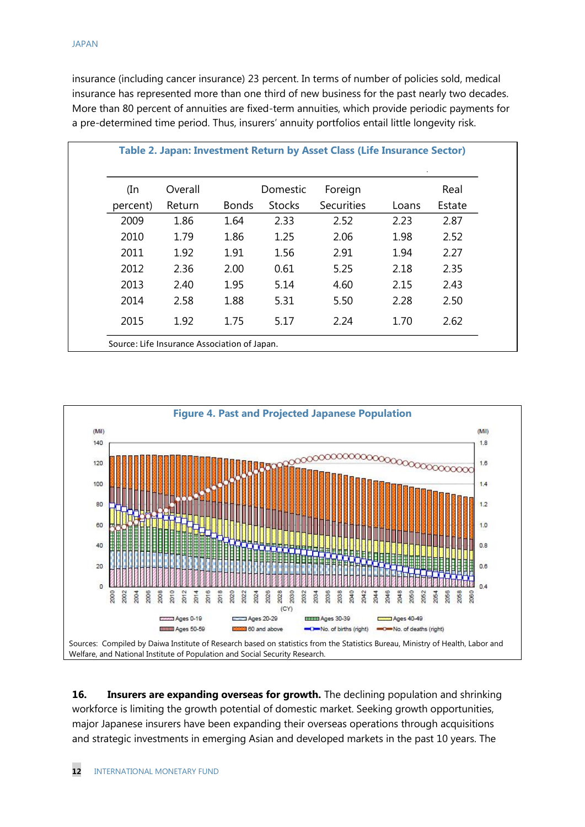insurance (including cancer insurance) 23 percent. In terms of number of policies sold, medical insurance has represented more than one third of new business for the past nearly two decades. More than 80 percent of annuities are fixed-term annuities, which provide periodic payments for a pre-determined time period. Thus, insurers' annuity portfolios entail little longevity risk.

| (In      | Overall |              | Domestic      | Foreign           |       | Real   |
|----------|---------|--------------|---------------|-------------------|-------|--------|
| percent) | Return  | <b>Bonds</b> | <b>Stocks</b> | <b>Securities</b> | Loans | Estate |
| 2009     | 1.86    | 1.64         | 2.33          | 2.52              | 2.23  | 2.87   |
| 2010     | 1.79    | 1.86         | 1.25          | 2.06              | 1.98  | 2.52   |
| 2011     | 1.92    | 1.91         | 1.56          | 2.91              | 1.94  | 2.27   |
| 2012     | 2.36    | 2.00         | 0.61          | 5.25              | 2.18  | 2.35   |
| 2013     | 2.40    | 1.95         | 5.14          | 4.60              | 2.15  | 2.43   |
| 2014     | 2.58    | 1.88         | 5.31          | 5.50              | 2.28  | 2.50   |
| 2015     | 1.92    | 1.75         | 5.17          | 2.24              | 1.70  | 2.62   |



**16. Insurers are expanding overseas for growth.** The declining population and shrinking workforce is limiting the growth potential of domestic market. Seeking growth opportunities, major Japanese insurers have been expanding their overseas operations through acquisitions and strategic investments in emerging Asian and developed markets in the past 10 years. The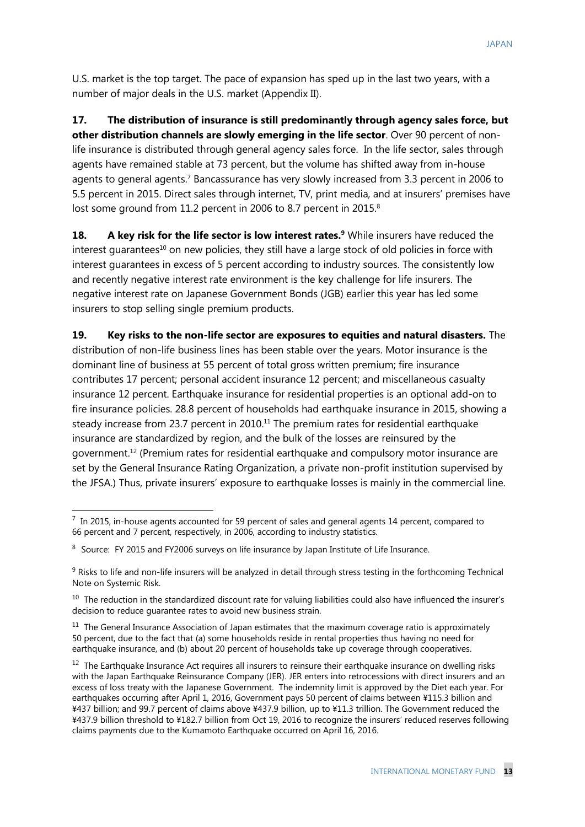U.S. market is the top target. The pace of expansion has sped up in the last two years, with a number of major deals in the U.S. market (Appendix II).

**17. The distribution of insurance is still predominantly through agency sales force, but other distribution channels are slowly emerging in the life sector**. Over 90 percent of nonlife insurance is distributed through general agency sales force. In the life sector, sales through agents have remained stable at 73 percent, but the volume has shifted away from in-house agents to general agents.<sup>7</sup> Bancassurance has very slowly increased from 3.3 percent in 2006 to 5.5 percent in 2015. Direct sales through internet, TV, print media, and at insurers' premises have lost some ground from 11.2 percent in 2006 to 8.7 percent in 2015.<sup>8</sup>

**18. A key risk for the life sector is low interest rates.<sup>9</sup>** While insurers have reduced the interest guarantees<sup>10</sup> on new policies, they still have a large stock of old policies in force with interest guarantees in excess of 5 percent according to industry sources. The consistently low and recently negative interest rate environment is the key challenge for life insurers. The negative interest rate on Japanese Government Bonds (JGB) earlier this year has led some insurers to stop selling single premium products.

**19. Key risks to the non-life sector are exposures to equities and natural disasters.** The distribution of non-life business lines has been stable over the years. Motor insurance is the dominant line of business at 55 percent of total gross written premium; fire insurance contributes 17 percent; personal accident insurance 12 percent; and miscellaneous casualty insurance 12 percent. Earthquake insurance for residential properties is an optional add-on to fire insurance policies. 28.8 percent of households had earthquake insurance in 2015, showing a steady increase from 23.7 percent in 2010.<sup>11</sup> The premium rates for residential earthquake insurance are standardized by region, and the bulk of the losses are reinsured by the government. <sup>12</sup> (Premium rates for residential earthquake and compulsory motor insurance are set by the General Insurance Rating Organization, a private non-profit institution supervised by the JFSA.) Thus, private insurers' exposure to earthquake losses is mainly in the commercial line.

 $^7$  In 2015, in-house agents accounted for 59 percent of sales and general agents 14 percent, compared to 66 percent and 7 percent, respectively, in 2006, according to industry statistics.

<sup>&</sup>lt;sup>8</sup> Source: FY 2015 and FY2006 surveys on life insurance by Japan Institute of Life Insurance.

<sup>9</sup> Risks to life and non-life insurers will be analyzed in detail through stress testing in the forthcoming Technical Note on Systemic Risk.

<sup>&</sup>lt;sup>10</sup> The reduction in the standardized discount rate for valuing liabilities could also have influenced the insurer's decision to reduce guarantee rates to avoid new business strain.

<sup>&</sup>lt;sup>11</sup> The General Insurance Association of Japan estimates that the maximum coverage ratio is approximately 50 percent, due to the fact that (a) some households reside in rental properties thus having no need for earthquake insurance, and (b) about 20 percent of households take up coverage through cooperatives.

 $12$  The Earthquake Insurance Act requires all insurers to reinsure their earthquake insurance on dwelling risks with the Japan Earthquake Reinsurance Company (JER). JER enters into retrocessions with direct insurers and an excess of loss treaty with the Japanese Government. The indemnity limit is approved by the Diet each year. For earthquakes occurring after April 1, 2016, Government pays 50 percent of claims between ¥115.3 billion and ¥437 billion; and 99.7 percent of claims above ¥437.9 billion, up to ¥11.3 trillion. The Government reduced the ¥437.9 billion threshold to ¥182.7 billion from Oct 19, 2016 to recognize the insurers' reduced reserves following claims payments due to the Kumamoto Earthquake occurred on April 16, 2016.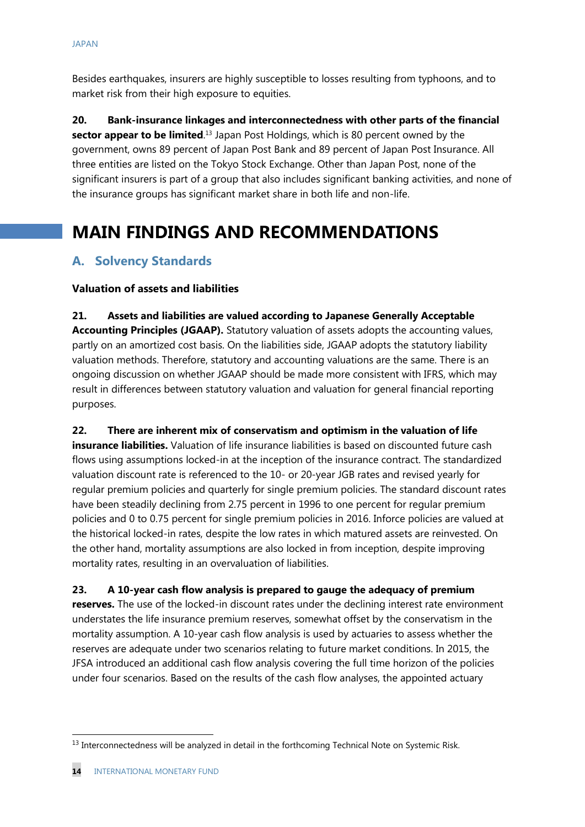Besides earthquakes, insurers are highly susceptible to losses resulting from typhoons, and to market risk from their high exposure to equities.

**20. Bank-insurance linkages and interconnectedness with other parts of the financial sector appear to be limited**. <sup>13</sup> Japan Post Holdings, which is 80 percent owned by the government, owns 89 percent of Japan Post Bank and 89 percent of Japan Post Insurance. All three entities are listed on the Tokyo Stock Exchange. Other than Japan Post, none of the significant insurers is part of a group that also includes significant banking activities, and none of the insurance groups has significant market share in both life and non-life.

# **MAIN FINDINGS AND RECOMMENDATIONS**

## **A. Solvency Standards**

#### **Valuation of assets and liabilities**

**21. Assets and liabilities are valued according to Japanese Generally Acceptable Accounting Principles (JGAAP).** Statutory valuation of assets adopts the accounting values, partly on an amortized cost basis. On the liabilities side, JGAAP adopts the statutory liability valuation methods. Therefore, statutory and accounting valuations are the same. There is an ongoing discussion on whether JGAAP should be made more consistent with IFRS, which may result in differences between statutory valuation and valuation for general financial reporting purposes.

**22. There are inherent mix of conservatism and optimism in the valuation of life** 

**insurance liabilities.** Valuation of life insurance liabilities is based on discounted future cash flows using assumptions locked-in at the inception of the insurance contract. The standardized valuation discount rate is referenced to the 10- or 20-year JGB rates and revised yearly for regular premium policies and quarterly for single premium policies. The standard discount rates have been steadily declining from 2.75 percent in 1996 to one percent for regular premium policies and 0 to 0.75 percent for single premium policies in 2016. Inforce policies are valued at the historical locked-in rates, despite the low rates in which matured assets are reinvested. On the other hand, mortality assumptions are also locked in from inception, despite improving mortality rates, resulting in an overvaluation of liabilities.

**23. A 10-year cash flow analysis is prepared to gauge the adequacy of premium** 

**reserves.** The use of the locked-in discount rates under the declining interest rate environment understates the life insurance premium reserves, somewhat offset by the conservatism in the mortality assumption. A 10-year cash flow analysis is used by actuaries to assess whether the reserves are adequate under two scenarios relating to future market conditions. In 2015, the JFSA introduced an additional cash flow analysis covering the full time horizon of the policies under four scenarios. Based on the results of the cash flow analyses, the appointed actuary

<sup>&</sup>lt;sup>13</sup> Interconnectedness will be analyzed in detail in the forthcoming Technical Note on Systemic Risk.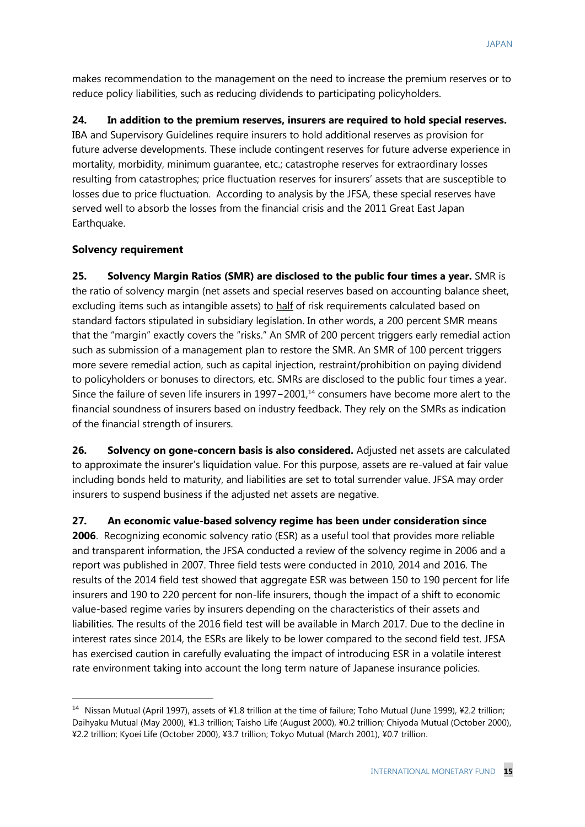makes recommendation to the management on the need to increase the premium reserves or to reduce policy liabilities, such as reducing dividends to participating policyholders.

**24. In addition to the premium reserves, insurers are required to hold special reserves.**  IBA and Supervisory Guidelines require insurers to hold additional reserves as provision for future adverse developments. These include contingent reserves for future adverse experience in mortality, morbidity, minimum guarantee, etc.; catastrophe reserves for extraordinary losses resulting from catastrophes; price fluctuation reserves for insurers' assets that are susceptible to losses due to price fluctuation. According to analysis by the JFSA, these special reserves have served well to absorb the losses from the financial crisis and the 2011 Great East Japan Earthquake.

#### **Solvency requirement**

-

**25. Solvency Margin Ratios (SMR) are disclosed to the public four times a year.** SMR is the ratio of solvency margin (net assets and special reserves based on accounting balance sheet, excluding items such as intangible assets) to half of risk requirements calculated based on standard factors stipulated in subsidiary legislation. In other words, a 200 percent SMR means that the "margin" exactly covers the "risks." An SMR of 200 percent triggers early remedial action such as submission of a management plan to restore the SMR. An SMR of 100 percent triggers more severe remedial action, such as capital injection, restraint/prohibition on paying dividend to policyholders or bonuses to directors, etc. SMRs are disclosed to the public four times a year. Since the failure of seven life insurers in 1997−2001,<sup>14</sup> consumers have become more alert to the financial soundness of insurers based on industry feedback. They rely on the SMRs as indication of the financial strength of insurers.

**26. Solvency on gone-concern basis is also considered.** Adjusted net assets are calculated to approximate the insurer's liquidation value. For this purpose, assets are re-valued at fair value including bonds held to maturity, and liabilities are set to total surrender value. JFSA may order insurers to suspend business if the adjusted net assets are negative.

**27. An economic value-based solvency regime has been under consideration since 2006**. Recognizing economic solvency ratio (ESR) as a useful tool that provides more reliable and transparent information, the JFSA conducted a review of the solvency regime in 2006 and a report was published in 2007. Three field tests were conducted in 2010, 2014 and 2016. The results of the 2014 field test showed that aggregate ESR was between 150 to 190 percent for life insurers and 190 to 220 percent for non-life insurers, though the impact of a shift to economic value-based regime varies by insurers depending on the characteristics of their assets and liabilities. The results of the 2016 field test will be available in March 2017. Due to the decline in interest rates since 2014, the ESRs are likely to be lower compared to the second field test. JFSA has exercised caution in carefully evaluating the impact of introducing ESR in a volatile interest rate environment taking into account the long term nature of Japanese insurance policies.

<sup>&</sup>lt;sup>14</sup> Nissan Mutual (April 1997), assets of ¥1.8 trillion at the time of failure; Toho Mutual (June 1999), ¥2.2 trillion; Daihyaku Mutual (May 2000), ¥1.3 trillion; Taisho Life (August 2000), ¥0.2 trillion; Chiyoda Mutual (October 2000), ¥2.2 trillion; Kyoei Life (October 2000), ¥3.7 trillion; Tokyo Mutual (March 2001), ¥0.7 trillion.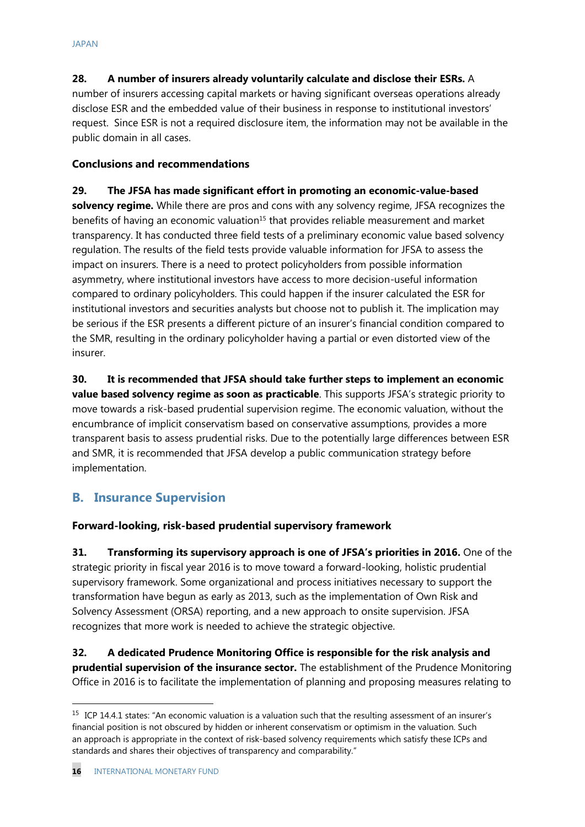**28. A number of insurers already voluntarily calculate and disclose their ESRs.** A number of insurers accessing capital markets or having significant overseas operations already disclose ESR and the embedded value of their business in response to institutional investors' request. Since ESR is not a required disclosure item, the information may not be available in the public domain in all cases.

#### **Conclusions and recommendations**

**29. The JFSA has made significant effort in promoting an economic-value-based solvency regime.** While there are pros and cons with any solvency regime, JFSA recognizes the benefits of having an economic valuation<sup>15</sup> that provides reliable measurement and market transparency. It has conducted three field tests of a preliminary economic value based solvency regulation. The results of the field tests provide valuable information for JFSA to assess the impact on insurers. There is a need to protect policyholders from possible information asymmetry, where institutional investors have access to more decision-useful information compared to ordinary policyholders. This could happen if the insurer calculated the ESR for institutional investors and securities analysts but choose not to publish it. The implication may be serious if the ESR presents a different picture of an insurer's financial condition compared to the SMR, resulting in the ordinary policyholder having a partial or even distorted view of the insurer.

**30. It is recommended that JFSA should take further steps to implement an economic value based solvency regime as soon as practicable**. This supports JFSA's strategic priority to move towards a risk-based prudential supervision regime. The economic valuation, without the encumbrance of implicit conservatism based on conservative assumptions, provides a more transparent basis to assess prudential risks. Due to the potentially large differences between ESR and SMR, it is recommended that JFSA develop a public communication strategy before implementation.

## **B. Insurance Supervision**

#### **Forward-looking, risk-based prudential supervisory framework**

**31. Transforming its supervisory approach is one of JFSA's priorities in 2016.** One of the strategic priority in fiscal year 2016 is to move toward a forward-looking, holistic prudential supervisory framework. Some organizational and process initiatives necessary to support the transformation have begun as early as 2013, such as the implementation of Own Risk and Solvency Assessment (ORSA) reporting, and a new approach to onsite supervision. JFSA recognizes that more work is needed to achieve the strategic objective.

**32. A dedicated Prudence Monitoring Office is responsible for the risk analysis and prudential supervision of the insurance sector.** The establishment of the Prudence Monitoring Office in 2016 is to facilitate the implementation of planning and proposing measures relating to

<sup>&</sup>lt;sup>15</sup> ICP 14.4.1 states: "An economic valuation is a valuation such that the resulting assessment of an insurer's financial position is not obscured by hidden or inherent conservatism or optimism in the valuation. Such an approach is appropriate in the context of risk-based solvency requirements which satisfy these ICPs and standards and shares their objectives of transparency and comparability."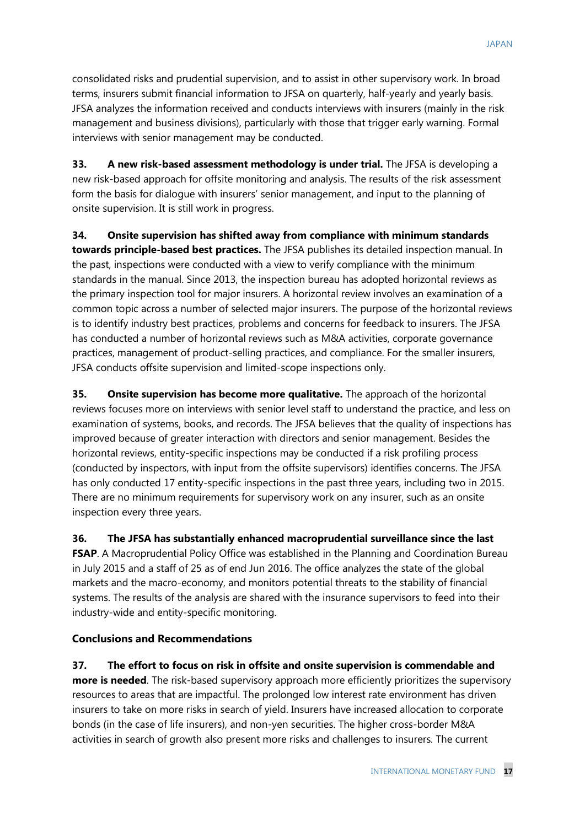consolidated risks and prudential supervision, and to assist in other supervisory work. In broad terms, insurers submit financial information to JFSA on quarterly, half-yearly and yearly basis. JFSA analyzes the information received and conducts interviews with insurers (mainly in the risk management and business divisions), particularly with those that trigger early warning. Formal interviews with senior management may be conducted.

**33. A new risk-based assessment methodology is under trial.** The JFSA is developing a new risk-based approach for offsite monitoring and analysis. The results of the risk assessment form the basis for dialogue with insurers' senior management, and input to the planning of onsite supervision. It is still work in progress.

**34. Onsite supervision has shifted away from compliance with minimum standards towards principle-based best practices.** The JFSA publishes its detailed inspection manual. In the past, inspections were conducted with a view to verify compliance with the minimum standards in the manual. Since 2013, the inspection bureau has adopted horizontal reviews as the primary inspection tool for major insurers. A horizontal review involves an examination of a common topic across a number of selected major insurers. The purpose of the horizontal reviews is to identify industry best practices, problems and concerns for feedback to insurers. The JFSA has conducted a number of horizontal reviews such as M&A activities, corporate governance practices, management of product-selling practices, and compliance. For the smaller insurers, JFSA conducts offsite supervision and limited-scope inspections only.

**35. Onsite supervision has become more qualitative.** The approach of the horizontal reviews focuses more on interviews with senior level staff to understand the practice, and less on examination of systems, books, and records. The JFSA believes that the quality of inspections has improved because of greater interaction with directors and senior management. Besides the horizontal reviews, entity-specific inspections may be conducted if a risk profiling process (conducted by inspectors, with input from the offsite supervisors) identifies concerns. The JFSA has only conducted 17 entity-specific inspections in the past three years, including two in 2015. There are no minimum requirements for supervisory work on any insurer, such as an onsite inspection every three years.

**36. The JFSA has substantially enhanced macroprudential surveillance since the last FSAP**. A Macroprudential Policy Office was established in the Planning and Coordination Bureau in July 2015 and a staff of 25 as of end Jun 2016. The office analyzes the state of the global markets and the macro-economy, and monitors potential threats to the stability of financial systems. The results of the analysis are shared with the insurance supervisors to feed into their industry-wide and entity-specific monitoring.

#### **Conclusions and Recommendations**

**37. The effort to focus on risk in offsite and onsite supervision is commendable and more is needed**. The risk-based supervisory approach more efficiently prioritizes the supervisory resources to areas that are impactful. The prolonged low interest rate environment has driven insurers to take on more risks in search of yield. Insurers have increased allocation to corporate bonds (in the case of life insurers), and non-yen securities. The higher cross-border M&A activities in search of growth also present more risks and challenges to insurers. The current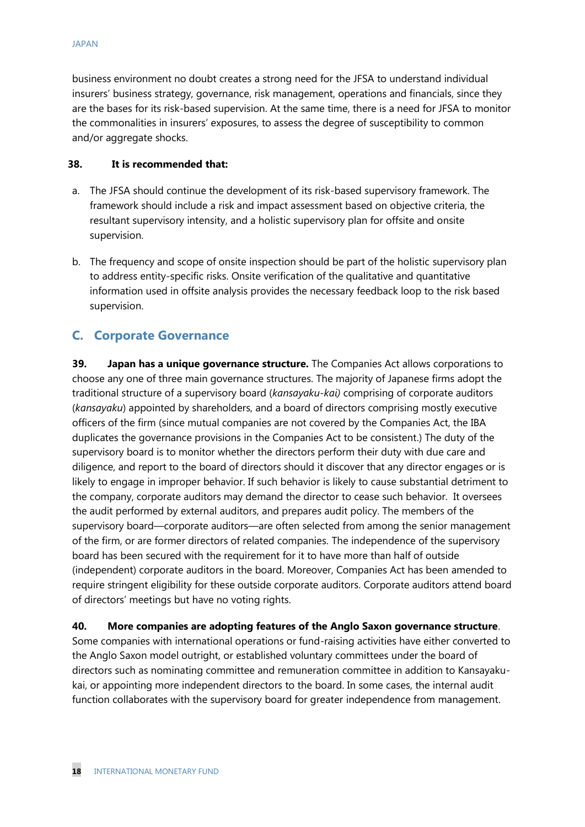business environment no doubt creates a strong need for the JFSA to understand individual insurers' business strategy, governance, risk management, operations and financials, since they are the bases for its risk-based supervision. At the same time, there is a need for JFSA to monitor the commonalities in insurers' exposures, to assess the degree of susceptibility to common and/or aggregate shocks.

#### **38. It is recommended that:**

- a. The JFSA should continue the development of its risk-based supervisory framework. The framework should include a risk and impact assessment based on objective criteria, the resultant supervisory intensity, and a holistic supervisory plan for offsite and onsite supervision.
- b. The frequency and scope of onsite inspection should be part of the holistic supervisory plan to address entity-specific risks. Onsite verification of the qualitative and quantitative information used in offsite analysis provides the necessary feedback loop to the risk based supervision.

### **C. Corporate Governance**

**39. Japan has a unique governance structure.** The Companies Act allows corporations to choose any one of three main governance structures. The majority of Japanese firms adopt the traditional structure of a supervisory board (*kansayaku-kai)* comprising of corporate auditors (*kansayaku*) appointed by shareholders, and a board of directors comprising mostly executive officers of the firm (since mutual companies are not covered by the Companies Act, the IBA duplicates the governance provisions in the Companies Act to be consistent.) The duty of the supervisory board is to monitor whether the directors perform their duty with due care and diligence, and report to the board of directors should it discover that any director engages or is likely to engage in improper behavior. If such behavior is likely to cause substantial detriment to the company, corporate auditors may demand the director to cease such behavior. It oversees the audit performed by external auditors, and prepares audit policy. The members of the supervisory board—corporate auditors—are often selected from among the senior management of the firm, or are former directors of related companies. The independence of the supervisory board has been secured with the requirement for it to have more than half of outside (independent) corporate auditors in the board. Moreover, Companies Act has been amended to require stringent eligibility for these outside corporate auditors. Corporate auditors attend board of directors' meetings but have no voting rights.

#### **40. More companies are adopting features of the Anglo Saxon governance structure**.

Some companies with international operations or fund-raising activities have either converted to the Anglo Saxon model outright, or established voluntary committees under the board of directors such as nominating committee and remuneration committee in addition to Kansayakukai, or appointing more independent directors to the board. In some cases, the internal audit function collaborates with the supervisory board for greater independence from management.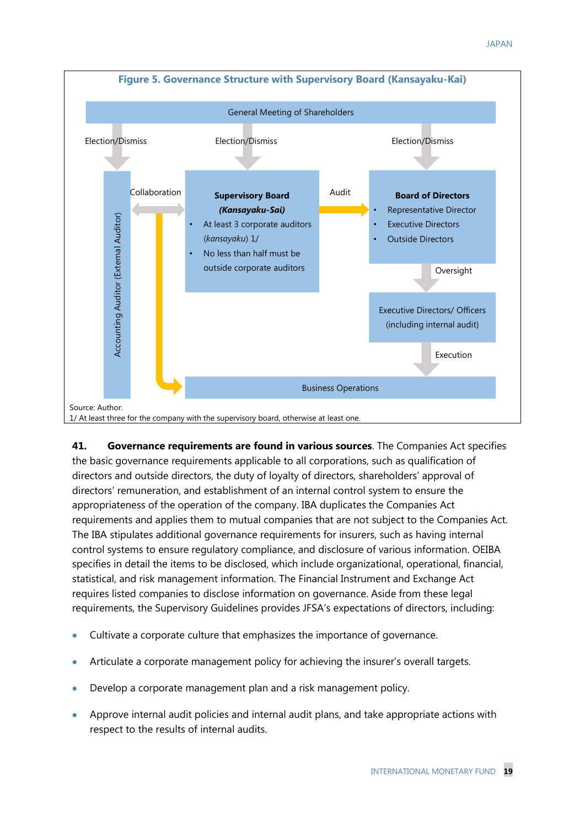

**41. Governance requirements are found in various sources**. The Companies Act specifies the basic governance requirements applicable to all corporations, such as qualification of directors and outside directors, the duty of loyalty of directors, shareholders' approval of directors' remuneration, and establishment of an internal control system to ensure the appropriateness of the operation of the company. IBA duplicates the Companies Act requirements and applies them to mutual companies that are not subject to the Companies Act. The IBA stipulates additional governance requirements for insurers, such as having internal control systems to ensure regulatory compliance, and disclosure of various information. OEIBA specifies in detail the items to be disclosed, which include organizational, operational, financial, statistical, and risk management information. The Financial Instrument and Exchange Act requires listed companies to disclose information on governance. Aside from these legal requirements, the Supervisory Guidelines provides JFSA's expectations of directors, including:

- Cultivate a corporate culture that emphasizes the importance of governance.
- Articulate a corporate management policy for achieving the insurer's overall targets.
- Develop a corporate management plan and a risk management policy.
- Approve internal audit policies and internal audit plans, and take appropriate actions with respect to the results of internal audits.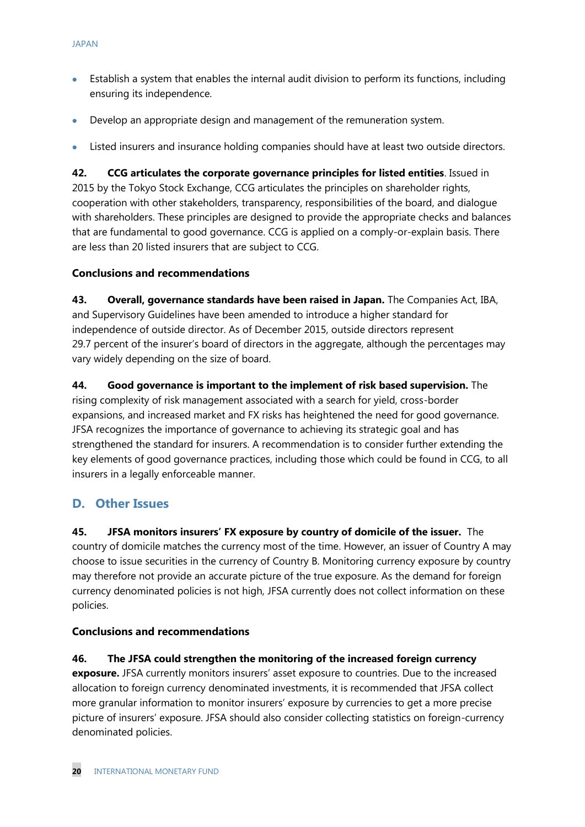- Establish a system that enables the internal audit division to perform its functions, including ensuring its independence.
- Develop an appropriate design and management of the remuneration system.
- Listed insurers and insurance holding companies should have at least two outside directors.

**42. CCG articulates the corporate governance principles for listed entities**. Issued in 2015 by the Tokyo Stock Exchange, CCG articulates the principles on shareholder rights, cooperation with other stakeholders, transparency, responsibilities of the board, and dialogue with shareholders. These principles are designed to provide the appropriate checks and balances that are fundamental to good governance. CCG is applied on a comply-or-explain basis. There are less than 20 listed insurers that are subject to CCG.

#### **Conclusions and recommendations**

**43. Overall, governance standards have been raised in Japan.** The Companies Act, IBA, and Supervisory Guidelines have been amended to introduce a higher standard for independence of outside director. As of December 2015, outside directors represent 29.7 percent of the insurer's board of directors in the aggregate, although the percentages may vary widely depending on the size of board.

**44. Good governance is important to the implement of risk based supervision.** The rising complexity of risk management associated with a search for yield, cross-border expansions, and increased market and FX risks has heightened the need for good governance. JFSA recognizes the importance of governance to achieving its strategic goal and has strengthened the standard for insurers. A recommendation is to consider further extending the key elements of good governance practices, including those which could be found in CCG, to all insurers in a legally enforceable manner.

#### **D. Other Issues**

**45. JFSA monitors insurers' FX exposure by country of domicile of the issuer.** The country of domicile matches the currency most of the time. However, an issuer of Country A may choose to issue securities in the currency of Country B. Monitoring currency exposure by country may therefore not provide an accurate picture of the true exposure. As the demand for foreign currency denominated policies is not high, JFSA currently does not collect information on these policies.

#### **Conclusions and recommendations**

#### **46. The JFSA could strengthen the monitoring of the increased foreign currency**

**exposure.** JFSA currently monitors insurers' asset exposure to countries. Due to the increased allocation to foreign currency denominated investments, it is recommended that JFSA collect more granular information to monitor insurers' exposure by currencies to get a more precise picture of insurers' exposure. JFSA should also consider collecting statistics on foreign-currency denominated policies.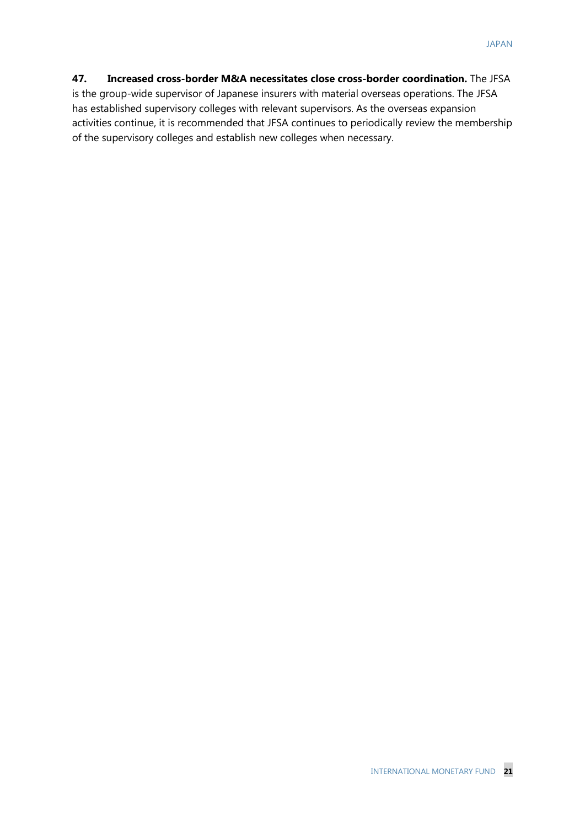#### **47. Increased cross-border M&A necessitates close cross-border coordination.** The JFSA is the group-wide supervisor of Japanese insurers with material overseas operations. The JFSA has established supervisory colleges with relevant supervisors. As the overseas expansion activities continue, it is recommended that JFSA continues to periodically review the membership of the supervisory colleges and establish new colleges when necessary.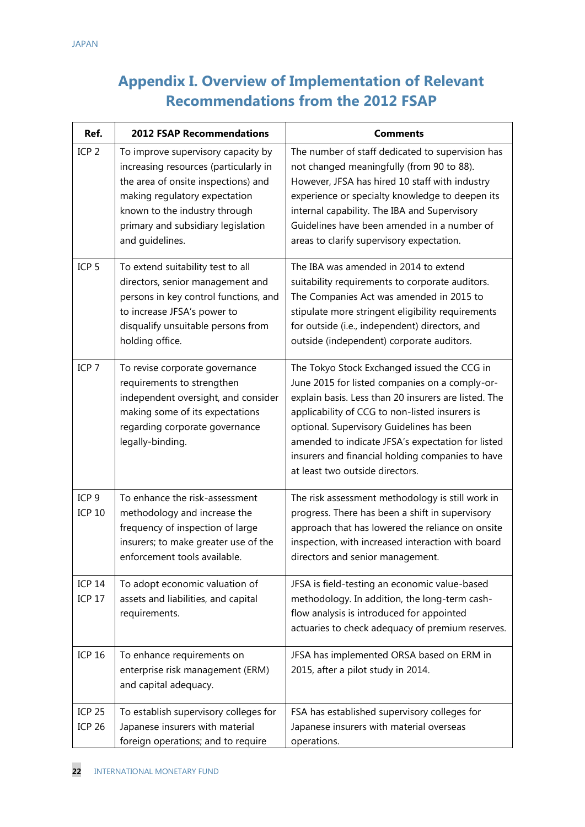## **Appendix I. Overview of Implementation of Relevant Recommendations from the 2012 FSAP**

| Ref.                              | <b>2012 FSAP Recommendations</b>                                                                                                                                                                                                              | <b>Comments</b>                                                                                                                                                                                                                                                                                                                                                                                  |
|-----------------------------------|-----------------------------------------------------------------------------------------------------------------------------------------------------------------------------------------------------------------------------------------------|--------------------------------------------------------------------------------------------------------------------------------------------------------------------------------------------------------------------------------------------------------------------------------------------------------------------------------------------------------------------------------------------------|
| ICP <sub>2</sub>                  | To improve supervisory capacity by<br>increasing resources (particularly in<br>the area of onsite inspections) and<br>making regulatory expectation<br>known to the industry through<br>primary and subsidiary legislation<br>and guidelines. | The number of staff dedicated to supervision has<br>not changed meaningfully (from 90 to 88).<br>However, JFSA has hired 10 staff with industry<br>experience or specialty knowledge to deepen its<br>internal capability. The IBA and Supervisory<br>Guidelines have been amended in a number of<br>areas to clarify supervisory expectation.                                                   |
| ICP <sub>5</sub>                  | To extend suitability test to all<br>directors, senior management and<br>persons in key control functions, and<br>to increase JFSA's power to<br>disqualify unsuitable persons from<br>holding office.                                        | The IBA was amended in 2014 to extend<br>suitability requirements to corporate auditors.<br>The Companies Act was amended in 2015 to<br>stipulate more stringent eligibility requirements<br>for outside (i.e., independent) directors, and<br>outside (independent) corporate auditors.                                                                                                         |
| ICP <sub>7</sub>                  | To revise corporate governance<br>requirements to strengthen<br>independent oversight, and consider<br>making some of its expectations<br>regarding corporate governance<br>legally-binding.                                                  | The Tokyo Stock Exchanged issued the CCG in<br>June 2015 for listed companies on a comply-or-<br>explain basis. Less than 20 insurers are listed. The<br>applicability of CCG to non-listed insurers is<br>optional. Supervisory Guidelines has been<br>amended to indicate JFSA's expectation for listed<br>insurers and financial holding companies to have<br>at least two outside directors. |
| ICP <sub>9</sub><br><b>ICP 10</b> | To enhance the risk-assessment<br>methodology and increase the<br>frequency of inspection of large<br>insurers; to make greater use of the<br>enforcement tools available.                                                                    | The risk assessment methodology is still work in<br>progress. There has been a shift in supervisory<br>approach that has lowered the reliance on onsite<br>inspection, with increased interaction with board<br>directors and senior management.                                                                                                                                                 |
| <b>ICP 14</b><br><b>ICP 17</b>    | To adopt economic valuation of<br>assets and liabilities, and capital<br>requirements.                                                                                                                                                        | JFSA is field-testing an economic value-based<br>methodology. In addition, the long-term cash-<br>flow analysis is introduced for appointed<br>actuaries to check adequacy of premium reserves.                                                                                                                                                                                                  |
| <b>ICP 16</b>                     | To enhance requirements on<br>enterprise risk management (ERM)<br>and capital adequacy.                                                                                                                                                       | JFSA has implemented ORSA based on ERM in<br>2015, after a pilot study in 2014.                                                                                                                                                                                                                                                                                                                  |
| <b>ICP 25</b><br><b>ICP 26</b>    | To establish supervisory colleges for<br>Japanese insurers with material<br>foreign operations; and to require                                                                                                                                | FSA has established supervisory colleges for<br>Japanese insurers with material overseas<br>operations.                                                                                                                                                                                                                                                                                          |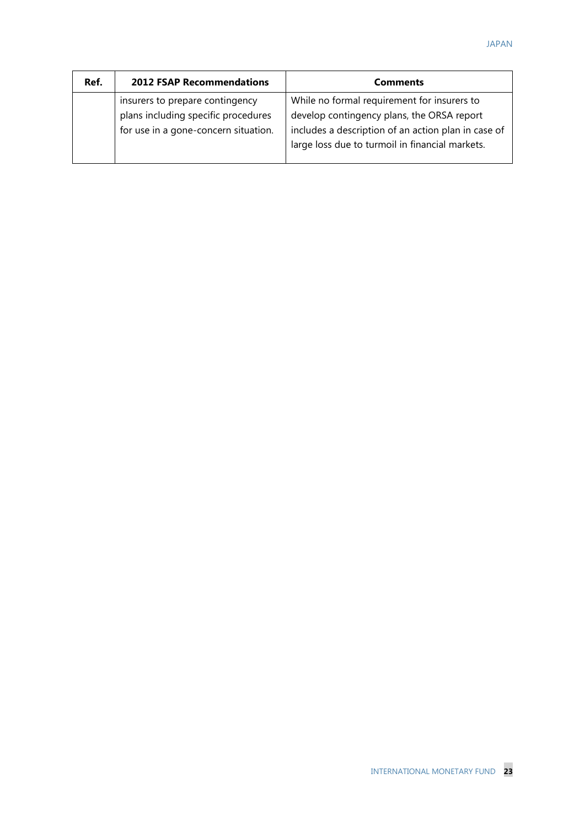| Ref. | <b>2012 FSAP Recommendations</b>                                                                               | <b>Comments</b>                                                                                                                                                                                     |
|------|----------------------------------------------------------------------------------------------------------------|-----------------------------------------------------------------------------------------------------------------------------------------------------------------------------------------------------|
|      | insurers to prepare contingency<br>plans including specific procedures<br>for use in a gone-concern situation. | While no formal requirement for insurers to<br>develop contingency plans, the ORSA report<br>includes a description of an action plan in case of<br>large loss due to turmoil in financial markets. |